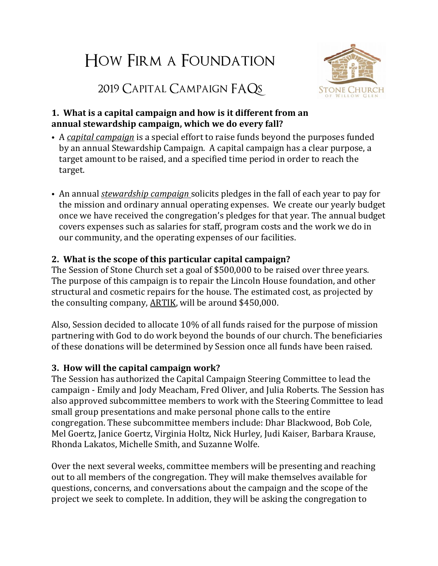# How Firm a Foundation



2019 Capital Campaign FAQs

#### **1. What is a capital campaign and how is it different from an annual stewardship campaign, which we do every fall?**

- A *capital campaign* is a special effort to raise funds beyond the purposes funded by an annual Stewardship Campaign. A capital campaign has a clear purpose, a target amount to be raised, and a specified time period in order to reach the target.
- An annual *stewardship campaign* solicits pledges in the fall of each year to pay for the mission and ordinary annual operating expenses. We create our yearly budget once we have received the congregation's pledges for that year. The annual budget covers expenses such as salaries for staff, program costs and the work we do in our community, and the operating expenses of our facilities.

# **2. What is the scope of this particular capital campaign?**

The Session of Stone Church set a goal of \$500,000 to be raised over three years. The purpose of this campaign is to repair the Lincoln House foundation, and other structural and cosmetic repairs for the house. The estimated cost, as projected by the consulting company, [ARTIK,](https://www.artika3.com/) will be around \$450,000.

Also, Session decided to allocate 10% of all funds raised for the purpose of mission partnering with God to do work beyond the bounds of our church. The beneficiaries of these donations will be determined by Session once all funds have been raised.

### **3. How will the capital campaign work?**

The Session has authorized the Capital Campaign Steering Committee to lead the campaign - Emily and Jody Meacham, Fred Oliver, and Julia Roberts. The Session has also approved subcommittee members to work with the Steering Committee to lead small group presentations and make personal phone calls to the entire congregation. These subcommittee members include: Dhar Blackwood, Bob Cole, Mel Goertz, Janice Goertz, Virginia Holtz, Nick Hurley, Judi Kaiser, Barbara Krause, Rhonda Lakatos, Michelle Smith, and Suzanne Wolfe.

Over the next several weeks, committee members will be presenting and reaching out to all members of the congregation. They will make themselves available for questions, concerns, and conversations about the campaign and the scope of the project we seek to complete. In addition, they will be asking the congregation to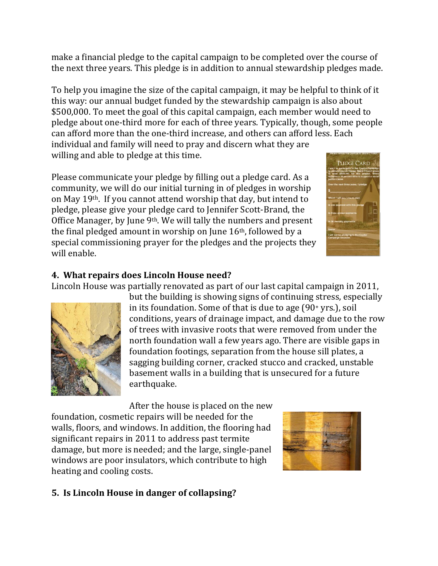make a financial pledge to the capital campaign to be completed over the course of the next three years. This pledge is in addition to annual stewardship pledges made.

To help you imagine the size of the capital campaign, it may be helpful to think of it this way: our annual budget funded by the stewardship campaign is also about \$500,000. To meet the goal of this capital campaign, each member would need to pledge about one-third more for each of three years. Typically, though, some people can afford more than the one-third increase, and others can afford less. Each individual and family will need to pray and discern what they are willing and able to pledge at this time.

Please communicate your pledge by filling out a pledge card. As a community, we will do our initial turning in of pledges in worship on May 19th. If you cannot attend worship that day, but intend to pledge, please give your pledge card to Jennifer Scott-Brand, the Office Manager, by June 9th. We will tally the numbers and present the final pledged amount in worship on June 16th, followed by a special commissioning prayer for the pledges and the projects they will enable.

### **4. What repairs does Lincoln House need?**

Lincoln House was partially renovated as part of our last capital campaign in 2011,

but the building is showing signs of continuing stress, especially in its foundation. Some of that is due to age (90<sup>+</sup> yrs.), soil conditions, years of drainage impact, and damage due to the row of trees with invasive roots that were removed from under the north foundation wall a few years ago. There are visible gaps in foundation footings, separation from the house sill plates, a sagging building corner, cracked stucco and cracked, unstable basement walls in a building that is unsecured for a future earthquake.

After the house is placed on the new

foundation, cosmetic repairs will be needed for the walls, floors, and windows. In addition, the flooring had significant repairs in 2011 to address past termite damage, but more is needed; and the large, single-panel windows are poor insulators, which contribute to high heating and cooling costs.

#### **5. Is Lincoln House in danger of collapsing?**





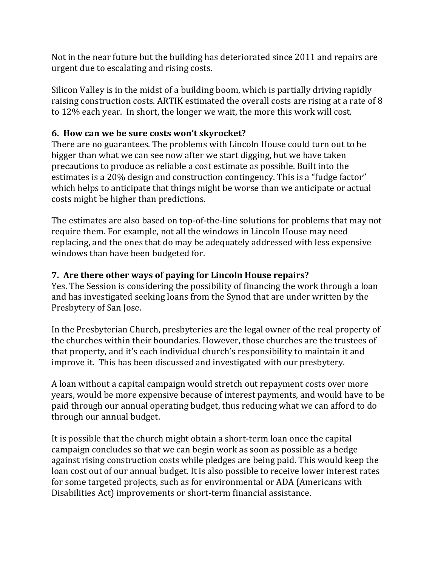Not in the near future but the building has deteriorated since 2011 and repairs are urgent due to escalating and rising costs.

Silicon Valley is in the midst of a building boom, which is partially driving rapidly raising construction costs. ARTIK estimated the overall costs are rising at a rate of 8 to 12% each year. In short, the longer we wait, the more this work will cost.

#### **6. How can we be sure costs won't skyrocket?**

There are no guarantees. The problems with Lincoln House could turn out to be bigger than what we can see now after we start digging, but we have taken precautions to produce as reliable a cost estimate as possible. Built into the estimates is a 20% design and construction contingency. This is a "fudge factor" which helps to anticipate that things might be worse than we anticipate or actual costs might be higher than predictions.

The estimates are also based on top-of-the-line solutions for problems that may not require them. For example, not all the windows in Lincoln House may need replacing, and the ones that do may be adequately addressed with less expensive windows than have been budgeted for.

### **7. Are there other ways of paying for Lincoln House repairs?**

Yes. The Session is considering the possibility of financing the work through a loan and has investigated seeking loans from the Synod that are under written by the Presbytery of San Jose.

In the Presbyterian Church, presbyteries are the legal owner of the real property of the churches within their boundaries. However, those churches are the trustees of that property, and it's each individual church's responsibility to maintain it and improve it. This has been discussed and investigated with our presbytery.

A loan without a capital campaign would stretch out repayment costs over more years, would be more expensive because of interest payments, and would have to be paid through our annual operating budget, thus reducing what we can afford to do through our annual budget.

It is possible that the church might obtain a short-term loan once the capital campaign concludes so that we can begin work as soon as possible as a hedge against rising construction costs while pledges are being paid. This would keep the loan cost out of our annual budget. It is also possible to receive lower interest rates for some targeted projects, such as for environmental or ADA (Americans with Disabilities Act) improvements or short-term financial assistance.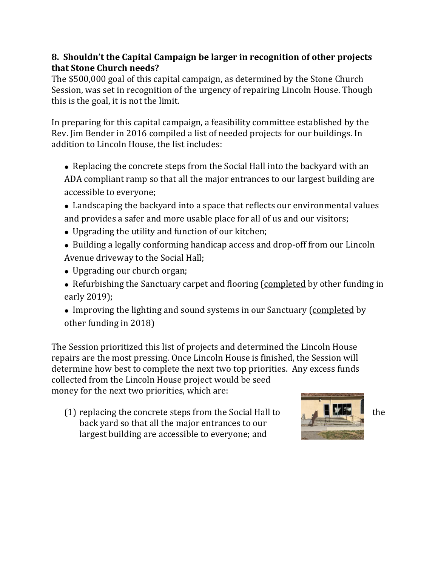#### **8. Shouldn't the Capital Campaign be larger in recognition of other projects that Stone Church needs?**

The \$500,000 goal of this capital campaign, as determined by the Stone Church Session, was set in recognition of the urgency of repairing Lincoln House. Though this is the goal, it is not the limit.

In preparing for this capital campaign, a feasibility committee established by the Rev. Jim Bender in 2016 compiled a list of needed projects for our buildings. In addition to Lincoln House, the list includes:

- Replacing the concrete steps from the Social Hall into the backyard with an ADA compliant ramp so that all the major entrances to our largest building are accessible to everyone;
- Landscaping the backyard into a space that reflects our environmental values and provides a safer and more usable place for all of us and our visitors;
- Upgrading the utility and function of our kitchen;
- Building a legally conforming handicap access and drop-off from our Lincoln Avenue driveway to the Social Hall;
- Upgrading our church organ;
- Refurbishing the Sanctuary carpet and flooring (completed by other funding in early 2019);
- Improving the lighting and sound systems in our Sanctuary (completed by other funding in 2018)

The Session prioritized this list of projects and determined the Lincoln House repairs are the most pressing. Once Lincoln House is finished, the Session will determine how best to complete the next two top priorities. Any excess funds collected from the Lincoln House project would be seed money for the next two priorities, which are:

(1) replacing the concrete steps from the Social Hall to  $\mathbb{R}$  the the back yard so that all the major entrances to our largest building are accessible to everyone; and

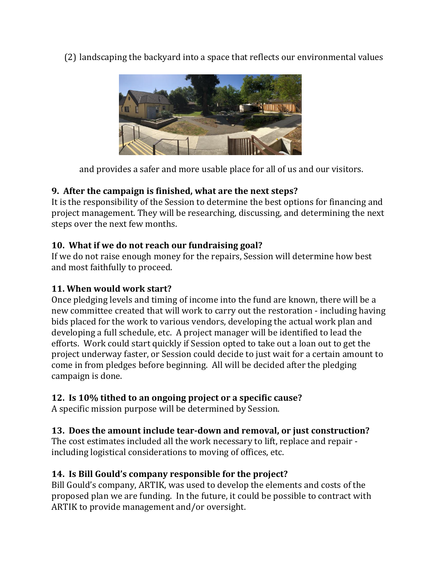(2) landscaping the backyard into a space that reflects our environmental values



and provides a safer and more usable place for all of us and our visitors.

# **9. After the campaign is finished, what are the next steps?**

It is the responsibility of the Session to determine the best options for financing and project management. They will be researching, discussing, and determining the next steps over the next few months.

#### **10. What if we do not reach our fundraising goal?**

If we do not raise enough money for the repairs, Session will determine how best and most faithfully to proceed.

#### **11. When would work start?**

Once pledging levels and timing of income into the fund are known, there will be a new committee created that will work to carry out the restoration - including having bids placed for the work to various vendors, developing the actual work plan and developing a full schedule, etc. A project manager will be identified to lead the efforts. Work could start quickly if Session opted to take out a loan out to get the project underway faster, or Session could decide to just wait for a certain amount to come in from pledges before beginning. All will be decided after the pledging campaign is done.

### **12. Is 10% tithed to an ongoing project or a specific cause?**

A specific mission purpose will be determined by Session.

### **13. Does the amount include tear-down and removal, or just construction?**

The cost estimates included all the work necessary to lift, replace and repair including logistical considerations to moving of offices, etc.

### **14. Is Bill Gould's company responsible for the project?**

Bill Gould's company, ARTIK, was used to develop the elements and costs of the proposed plan we are funding. In the future, it could be possible to contract with ARTIK to provide management and/or oversight.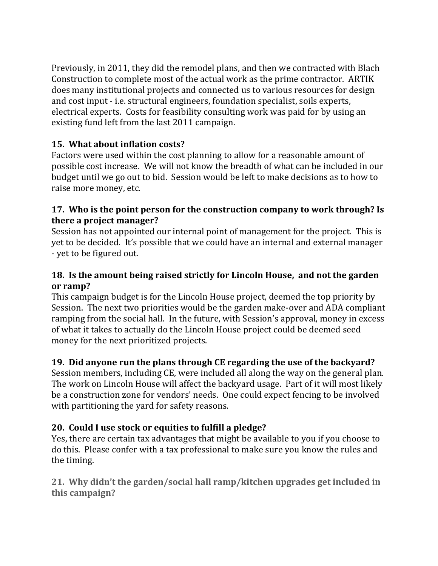Previously, in 2011, they did the remodel plans, and then we contracted with Blach Construction to complete most of the actual work as the prime contractor. ARTIK does many institutional projects and connected us to various resources for design and cost input - i.e. structural engineers, foundation specialist, soils experts, electrical experts. Costs for feasibility consulting work was paid for by using an existing fund left from the last 2011 campaign.

# **15. What about inflation costs?**

Factors were used within the cost planning to allow for a reasonable amount of possible cost increase. We will not know the breadth of what can be included in our budget until we go out to bid. Session would be left to make decisions as to how to raise more money, etc.

#### **17. Who is the point person for the construction company to work through? Is there a project manager?**

Session has not appointed our internal point of management for the project. This is yet to be decided. It's possible that we could have an internal and external manager - yet to be figured out.

#### **18. Is the amount being raised strictly for Lincoln House, and not the garden or ramp?**

This campaign budget is for the Lincoln House project, deemed the top priority by Session. The next two priorities would be the garden make-over and ADA compliant ramping from the social hall. In the future, with Session's approval, money in excess of what it takes to actually do the Lincoln House project could be deemed seed money for the next prioritized projects.

# **19. Did anyone run the plans through CE regarding the use of the backyard?**

Session members, including CE, were included all along the way on the general plan. The work on Lincoln House will affect the backyard usage. Part of it will most likely be a construction zone for vendors' needs. One could expect fencing to be involved with partitioning the yard for safety reasons.

# **20. Could I use stock or equities to fulfill a pledge?**

Yes, there are certain tax advantages that might be available to you if you choose to do this. Please confer with a tax professional to make sure you know the rules and the timing.

**21. Why didn't the garden/social hall ramp/kitchen upgrades get included in this campaign?**